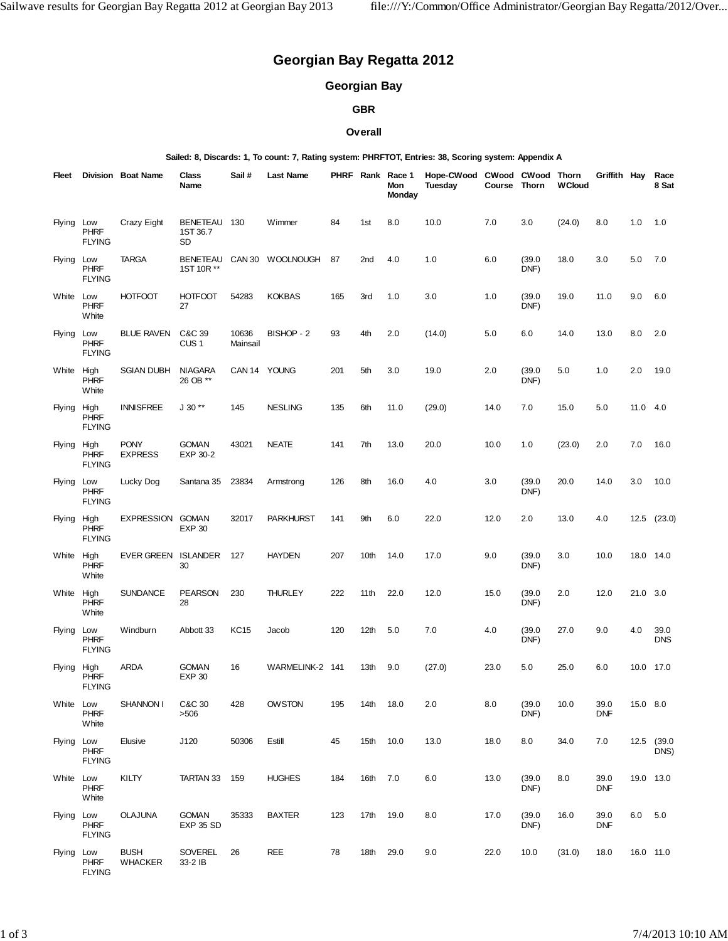# **Georgian Bay Regatta 2012**

## **Georgian Bay**

#### **GBR**

#### **Overall**

**Sailed: 8, Discards: 1, To count: 7, Rating system: PHRFTOT, Entries: 38, Scoring system: Appendix A**

| Fleet       |                                     | Division Boat Name            | <b>Class</b><br>Name           | Sail #            | <b>Last Name</b>          |     |          | PHRF Rank Race 1<br>Mon<br>Monday | Hope-CWood CWood CWood Thorn<br>Tuesday | Course Thorn |                | <b>WCloud</b> | Griffith Hay       |          | Race<br>8 Sat      |
|-------------|-------------------------------------|-------------------------------|--------------------------------|-------------------|---------------------------|-----|----------|-----------------------------------|-----------------------------------------|--------------|----------------|---------------|--------------------|----------|--------------------|
| Flying Low  | <b>PHRF</b><br><b>FLYING</b>        | Crazy Eight                   | BENETEAU 130<br>1ST 36.7<br>SD |                   | Wimmer                    | 84  | 1st      | 8.0                               | 10.0                                    | 7.0          | 3.0            | (24.0)        | 8.0                | 1.0      | 1.0                |
| Flying Low  | <b>PHRF</b><br><b>FLYING</b>        | <b>TARGA</b>                  | 1ST 10R **                     |                   | BENETEAU CAN 30 WOOLNOUGH | 87  | 2nd      | 4.0                               | 1.0                                     | 6.0          | (39.0)<br>DNF) | 18.0          | 3.0                | 5.0      | 7.0                |
| White Low   | <b>PHRF</b><br>White                | <b>HOTFOOT</b>                | <b>HOTFOOT</b><br>27           | 54283             | <b>KOKBAS</b>             | 165 | 3rd      | 1.0                               | 3.0                                     | 1.0          | (39.0)<br>DNF) | 19.0          | 11.0               | 9.0      | 6.0                |
| Flying Low  | PHRF<br><b>FLYING</b>               | <b>BLUE RAVEN</b>             | C&C 39<br>CUS <sub>1</sub>     | 10636<br>Mainsail | BISHOP - 2                | 93  | 4th      | 2.0                               | (14.0)                                  | 5.0          | 6.0            | 14.0          | 13.0               | 8.0      | 2.0                |
| White High  | <b>PHRF</b><br>White                | SGIAN DUBH                    | <b>NIAGARA</b><br>26 OB **     |                   | CAN 14 YOUNG              | 201 | 5th      | 3.0                               | 19.0                                    | 2.0          | (39.0)<br>DNF) | 5.0           | 1.0                | 2.0      | 19.0               |
| Flying High | <b>PHRF</b><br><b>FLYING</b>        | <b>INNISFREE</b>              | $J 30**$                       | 145               | <b>NESLING</b>            | 135 | 6th      | 11.0                              | (29.0)                                  | 14.0         | 7.0            | 15.0          | 5.0                | 11.0 4.0 |                    |
| Flying High | <b>PHRF</b><br><b>FLYING</b>        | <b>PONY</b><br><b>EXPRESS</b> | <b>GOMAN</b><br>EXP 30-2       | 43021             | <b>NEATE</b>              | 141 | 7th      | 13.0                              | 20.0                                    | 10.0         | 1.0            | (23.0)        | 2.0                | 7.0      | 16.0               |
| Flying      | Low<br><b>PHRF</b><br><b>FLYING</b> | Lucky Dog                     | Santana 35                     | 23834             | Armstrong                 | 126 | 8th      | 16.0                              | 4.0                                     | 3.0          | (39.0)<br>DNF) | 20.0          | 14.0               | 3.0      | 10.0               |
| Flying High | <b>PHRF</b><br><b>FLYING</b>        | EXPRESSION GOMAN              | <b>EXP 30</b>                  | 32017             | <b>PARKHURST</b>          | 141 | 9th      | 6.0                               | 22.0                                    | 12.0         | 2.0            | 13.0          | 4.0                |          | $12.5$ $(23.0)$    |
| White High  | <b>PHRF</b><br>White                | EVER GREEN ISLANDER           | 30                             | 127               | <b>HAYDEN</b>             | 207 | 10th     | 14.0                              | 17.0                                    | 9.0          | (39.0)<br>DNF) | 3.0           | 10.0               |          | 18.0 14.0          |
| White High  | <b>PHRF</b><br>White                | <b>SUNDANCE</b>               | <b>PEARSON</b><br>28           | 230               | <b>THURLEY</b>            | 222 | 11th     | 22.0                              | 12.0                                    | 15.0         | (39.0)<br>DNF) | 2.0           | 12.0               | 21.0 3.0 |                    |
| Flying Low  | <b>PHRF</b><br><b>FLYING</b>        | Windburn                      | Abbott 33                      | <b>KC15</b>       | Jacob                     | 120 | 12th     | 5.0                               | 7.0                                     | 4.0          | (39.0)<br>DNF) | 27.0          | 9.0                | 4.0      | 39.0<br><b>DNS</b> |
| Flying High | <b>PHRF</b><br><b>FLYING</b>        | <b>ARDA</b>                   | <b>GOMAN</b><br><b>EXP 30</b>  | 16                | WARMELINK-2 141           |     | 13th     | 9.0                               | (27.0)                                  | 23.0         | 5.0            | 25.0          | 6.0                |          | 10.0 17.0          |
| White Low   | <b>PHRF</b><br>White                | SHANNON I                     | C&C 30<br>>506                 | 428               | OWSTON                    | 195 | 14th     | 18.0                              | 2.0                                     | 8.0          | (39.0)<br>DNF) | 10.0          | 39.0<br><b>DNF</b> | 15.0 8.0 |                    |
| Flying Low  | <b>PHRF</b><br><b>FLYING</b>        | Elusive                       | J120                           | 50306             | Estill                    | 45  | 15th     | 10.0                              | 13.0                                    | 18.0         | 8.0            | 34.0          | 7.0                |          | 12.5 (39.0<br>DNS) |
| White Low   | <b>PHRF</b><br>White                | KILTY                         | TARTAN 33                      | 159               | <b>HUGHES</b>             | 184 | 16th 7.0 |                                   | 6.0                                     | 13.0         | (39.0)<br>DNF) | 8.0           | 39.0<br><b>DNF</b> |          | 19.0 13.0          |
| Flying Low  | <b>PHRF</b><br><b>FLYING</b>        | OLAJUNA                       | <b>GOMAN</b><br>EXP 35 SD      | 35333             | <b>BAXTER</b>             | 123 | 17th     | 19.0                              | 8.0                                     | 17.0         | (39.0)<br>DNF) | 16.0          | 39.0<br><b>DNF</b> | 6.0 5.0  |                    |
| Flying Low  | <b>PHRF</b><br><b>FLYING</b>        | <b>BUSH</b><br><b>WHACKER</b> | SOVEREL<br>33-2 IB             | 26                | <b>REE</b>                | 78  | 18th     | 29.0                              | 9.0                                     | 22.0         | 10.0           | (31.0)        | 18.0               |          | 16.0 11.0          |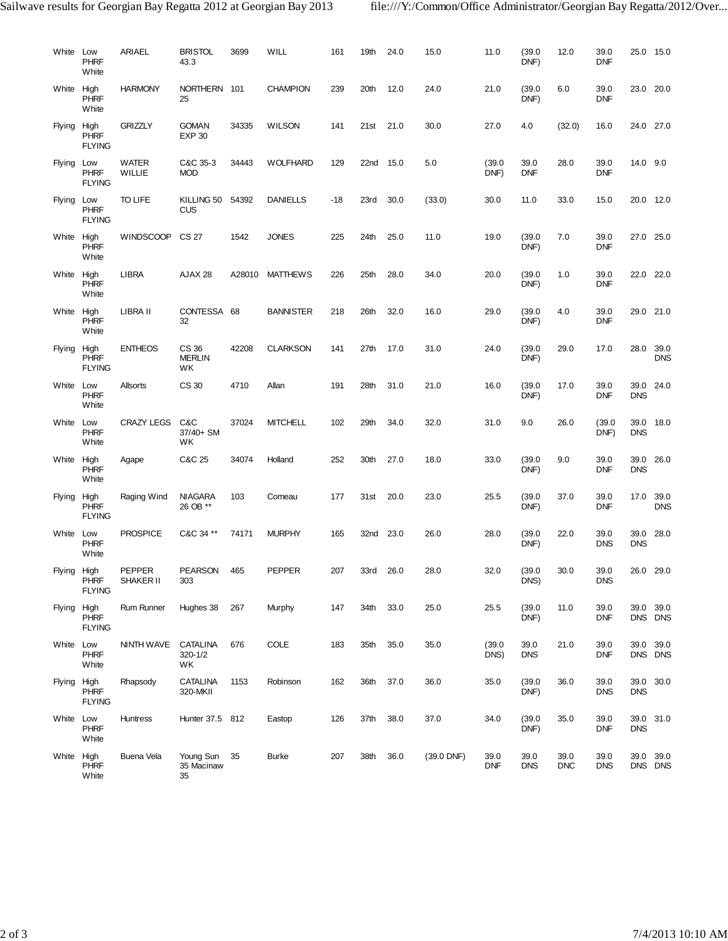| White Low   | <b>PHRF</b><br>White         | ARIAEL                 | <b>BRISTOL</b><br>43.3           | 3699   | WILL             | 161   | 19th | 24.0 | 15.0         | 11.0               | (39.0)<br>DNF)     | 12.0               | 39.0<br><b>DNF</b> |                    | 25.0 15.0               |
|-------------|------------------------------|------------------------|----------------------------------|--------|------------------|-------|------|------|--------------|--------------------|--------------------|--------------------|--------------------|--------------------|-------------------------|
| White High  | <b>PHRF</b><br>White         | <b>HARMONY</b>         | NORTHERN 101<br>25               |        | <b>CHAMPION</b>  | 239   | 20th | 12.0 | 24.0         | 21.0               | (39.0)<br>DNF)     | 6.0                | 39.0<br><b>DNF</b> | 23.0 20.0          |                         |
| Flying High | <b>PHRF</b><br><b>FLYING</b> | <b>GRIZZLY</b>         | <b>GOMAN</b><br><b>EXP 30</b>    | 34335  | <b>WILSON</b>    | 141   | 21st | 21.0 | 30.0         | 27.0               | 4.0                | (32.0)             | 16.0               | 24.0 27.0          |                         |
| Flying Low  | <b>PHRF</b><br><b>FLYING</b> | WATER<br><b>WILLIE</b> | C&C 35-3<br><b>MOD</b>           | 34443  | <b>WOLFHARD</b>  | 129   | 22nd | 15.0 | 5.0          | (39.0)<br>DNF)     | 39.0<br><b>DNF</b> | 28.0               | 39.0<br><b>DNF</b> | 14.0 9.0           |                         |
| Flying Low  | <b>PHRF</b><br><b>FLYING</b> | TO LIFE                | KILLING 50 54392<br>CUS          |        | <b>DANIELLS</b>  | $-18$ | 23rd | 30.0 | (33.0)       | 30.0               | 11.0               | 33.0               | 15.0               | 20.0 12.0          |                         |
| White High  | <b>PHRF</b><br>White         | <b>WINDSCOOP</b>       | CS 27                            | 1542   | <b>JONES</b>     | 225   | 24th | 25.0 | 11.0         | 19.0               | (39.0)<br>DNF)     | 7.0                | 39.0<br><b>DNF</b> | 27.0 25.0          |                         |
| White High  | <b>PHRF</b><br>White         | <b>LIBRA</b>           | AJAX 28                          | A28010 | <b>MATTHEWS</b>  | 226   | 25th | 28.0 | 34.0         | 20.0               | (39.0)<br>DNF)     | 1.0                | 39.0<br><b>DNF</b> | 22.0 22.0          |                         |
| White High  | <b>PHRF</b><br>White         | LIBRA II               | CONTESSA 68<br>32                |        | <b>BANNISTER</b> | 218   | 26th | 32.0 | 16.0         | 29.0               | (39.0)<br>DNF)     | 4.0                | 39.0<br><b>DNF</b> |                    | 29.0 21.0               |
| Flying High | <b>PHRF</b><br><b>FLYING</b> | <b>ENTHEOS</b>         | CS 36<br><b>MERLIN</b><br>WK     | 42208  | <b>CLARKSON</b>  | 141   | 27th | 17.0 | 31.0         | 24.0               | (39.0)<br>DNF)     | 29.0               | 17.0               | 28.0 39.0          | <b>DNS</b>              |
| White Low   | <b>PHRF</b><br>White         | Allsorts               | CS 30                            | 4710   | Allan            | 191   | 28th | 31.0 | 21.0         | 16.0               | (39.0)<br>DNF)     | 17.0               | 39.0<br><b>DNF</b> | <b>DNS</b>         | 39.0 24.0               |
| White Low   | <b>PHRF</b><br>White         | <b>CRAZY LEGS</b>      | C&C<br>37/40+ SM<br>WK           | 37024  | <b>MITCHELL</b>  | 102   | 29th | 34.0 | 32.0         | 31.0               | 9.0                | 26.0               | (39.0)<br>DNF)     | <b>DNS</b>         | 39.0 18.0               |
| White High  | <b>PHRF</b><br>White         | Agape                  | C&C 25                           | 34074  | Holland          | 252   | 30th | 27.0 | 18.0         | 33.0               | (39.0)<br>DNF)     | 9.0                | 39.0<br><b>DNF</b> | 39.0<br><b>DNS</b> | 26.0                    |
| Flying High | <b>PHRF</b><br><b>FLYING</b> | Raging Wind            | <b>NIAGARA</b><br>26 OB **       | 103    | Comeau           | 177   | 31st | 20.0 | 23.0         | 25.5               | (39.0)<br>DNF)     | 37.0               | 39.0<br><b>DNF</b> |                    | 17.0 39.0<br><b>DNS</b> |
| White Low   | <b>PHRF</b><br>White         | <b>PROSPICE</b>        | C&C 34 **                        | 74171  | <b>MURPHY</b>    | 165   | 32nd | 23.0 | 26.0         | 28.0               | (39.0)<br>DNF)     | 22.0               | 39.0<br><b>DNS</b> | 39.0<br><b>DNS</b> | 28.0                    |
| Flying High | PHRF<br><b>FLYING</b>        | PEPPER<br>SHAKER II    | <b>PEARSON</b><br>303            | 465    | <b>PEPPER</b>    | 207   | 33rd | 26.0 | 28.0         | 32.0               | (39.0)<br>DNS)     | 30.0               | 39.0<br><b>DNS</b> | 26.0 29.0          |                         |
| Flying High | <b>PHRF</b><br><b>FLYING</b> | Rum Runner             | Hughes 38                        | 267    | Murphy           | 147   | 34th | 33.0 | 25.0         | 25.5               | (39.0)<br>DNF)     | 11.0               | 39.0<br><b>DNF</b> |                    | 39.0 39.0<br>DNS DNS    |
| White Low   | <b>PHRF</b><br>White         | NINTH WAVE             | <b>CATALINA</b><br>320-1/2<br>WK | 676    | <b>COLE</b>      | 183   | 35th | 35.0 | 35.0         | (39.0)<br>DNS)     | 39.0<br><b>DNS</b> | 21.0               | 39.0<br><b>DNF</b> |                    | 39.0 39.0<br>DNS DNS    |
| Flying High | <b>PHRF</b><br><b>FLYING</b> | Rhapsody               | <b>CATALINA</b><br>320-MKII      | 1153   | Robinson         | 162   | 36th | 37.0 | 36.0         | 35.0               | (39.0)<br>DNF)     | 36.0               | 39.0<br><b>DNS</b> | <b>DNS</b>         | 39.0 30.0               |
| White Low   | <b>PHRF</b><br>White         | Huntress               | Hunter 37.5 812                  |        | Eastop           | 126   | 37th | 38.0 | 37.0         | 34.0               | (39.0)<br>DNF)     | 35.0               | 39.0<br><b>DNF</b> | <b>DNS</b>         | 39.0 31.0               |
| White High  | PHRF<br>White                | Buena Vela             | Young Sun<br>35 Macinaw<br>35    | 35     | <b>Burke</b>     | 207   | 38th | 36.0 | $(39.0$ DNF) | 39.0<br><b>DNF</b> | 39.0<br><b>DNS</b> | 39.0<br><b>DNC</b> | 39.0<br><b>DNS</b> |                    | 39.0 39.0<br>DNS DNS    |